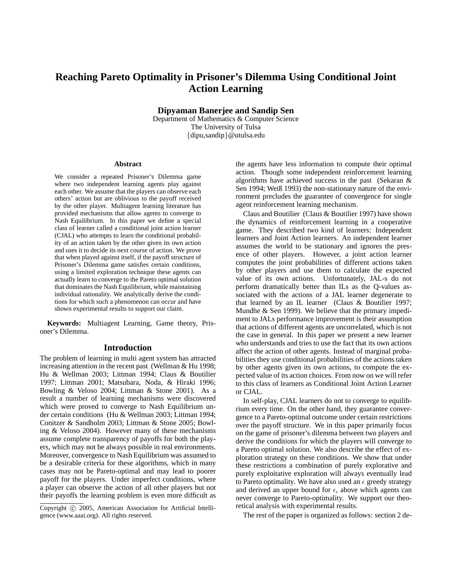# **Reaching Pareto Optimality in Prisoner's Dilemma Using Conditional Joint Action Learning**

**Dipyaman Banerjee and Sandip Sen**

Department of Mathematics & Computer Science The University of Tulsa {dipu,sandip}@utulsa.edu

#### **Abstract**

We consider a repeated Prisoner's Dilemma game where two independent learning agents play against each other. We assume that the players can observe each others' action but are oblivious to the payoff received by the other player. Multiagent learning literature has provided mechanisms that allow agents to converge to Nash Equilibrium. In this paper we define a special class of learner called a conditional joint action learner (CJAL) who attempts to learn the conditional probability of an action taken by the other given its own action and uses it to decide its next course of action. We prove that when played against itself, if the payoff structure of Prisoner's Dilemma game satisfies certain conditions, using a limited exploration technique these agents can actually learn to converge to the Pareto optimal solution that dominates the Nash Equilibrium, while maintaining individual rationality. We analytically derive the conditions for which such a phenomenon can occur and have shown experimental results to support our claim.

**Keywords:** Multiagent Learning, Game theory, Prisoner's Dilemma.

#### **Introduction**

The problem of learning in multi agent system has attracted increasing attention in the recent past (Wellman & Hu 1998; Hu & Wellman 2003; Littman 1994; Claus & Boutilier 1997; Littman 2001; Matsubara, Noda, & Hiraki 1996; Bowling & Veloso 2004; Littman & Stone 2001). As a result a number of learning mechanisms were discovered which were proved to converge to Nash Equilibrium under certain conditions (Hu & Wellman 2003; Littman 1994; Conitzer & Sandholm 2003; Littman & Stone 2005; Bowling & Veloso 2004). However many of these mechanisms assume complete transparency of payoffs for both the players, which may not be always possible in real environments. Moreover, convergence to Nash Equilibrium was assumed to be a desirable criteria for these algorithms, which in many cases may not be Pareto-optimal and may lead to poorer payoff for the players. Under imperfect conditions, where a player can observe the action of all other players but not their payoffs the learning problem is even more difficult as the agents have less information to compute their optimal action. Though some independent reinforcement learning algorithms have achieved success in the past (Sekaran & Sen 1994; Weiß 1993) the non-stationary nature of the environment precludes the guarantee of convergence for single agent reinforcement learning mechanism.

Claus and Boutilier (Claus & Boutilier 1997) have shown the dynamics of reinforcement learning in a cooperative game. They described two kind of learners: Independent learners and Joint Action learners. An independent learner assumes the world to be stationary and ignores the presence of other players. However, a joint action learner computes the joint probabilities of different actions taken by other players and use them to calculate the expected value of its own actions. Unfortunately, JAL-s do not perform dramatically better than ILs as the Q-values associated with the actions of a JAL learner degenerate to that learned by an IL learner (Claus & Boutilier 1997; Mundhe & Sen 1999). We believe that the primary impediment to JALs performance improvement is their assumption that actions of different agents are uncorrelated, which is not the case in general. In this paper we present a new learner who understands and tries to use the fact that its own actions affect the action of other agents. Instead of marginal probabilities they use conditional probabilities of the actions taken by other agents given its own actions, to compute the expected value of its action choices. From now on we will refer to this class of learners as Conditional Joint Action Learner or CJAL.

In self-play, CJAL learners do not to converge to equilibrium every time. On the other hand, they guarantee convergence to a Pareto-optimal outcome under certain restrictions over the payoff structure. We in this paper primarily focus on the game of prisoner's dilemma between two players and derive the conditions for which the players will converge to a Pareto optimal solution. We also describe the effect of exploration strategy on these conditions. We show that under these restrictions a combination of purely explorative and purely exploitative exploration will always eventually lead to Pareto optimality. We have also used an  $\epsilon$  greedy strategy and derived an upper bound for  $\epsilon$ , above which agents can never converge to Pareto-optimality. We support our theoretical analysis with experimental results.

The rest of the paper is organized as follows: section 2 de-

Copyright © 2005, American Association for Artificial Intelligence (www.aaai.org). All rights reserved.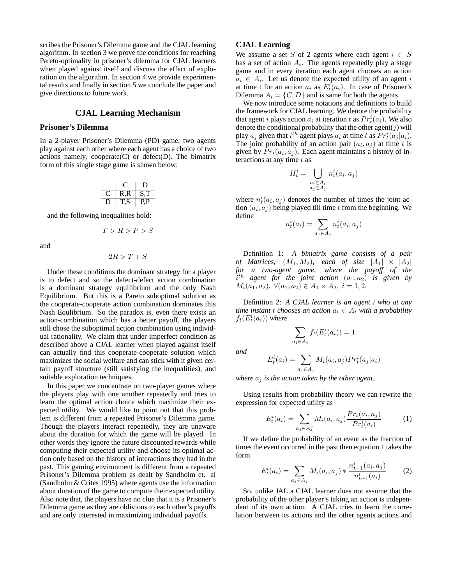scribes the Prisoner's Dilemma game and the CJAL learning algorithm. In section 3 we prove the conditions for reaching Pareto-optimality in prisoner's dilemma for CJAL learners when played against itself and discuss the effect of exploration on the algorithm. In section 4 we provide experimental results and finally in section 5 we conclude the paper and give directions to future work.

## **CJAL Learning Mechanism**

## **Prisoner's Dilemma**

In a 2-player Prisoner's Dilemma (PD) game, two agents play against each other where each agent has a choice of two actions namely, cooperate $(C)$  or defect $(D)$ . The bimatrix form of this single stage game is shown below:

| , |    |
|---|----|
|   | ر. |

and the following inequalities hold:

$$
T > R > P > S
$$

and

$$
2R>T+S
$$

Under these conditions the dominant strategy for a player is to defect and so the defect-defect action combination is a dominant strategy equilibrium and the only Nash Equilibrium. But this is a Pareto suboptimal solution as the cooperate-cooperate action combination dominates this Nash Equlibrium. So the paradox is, even there exists an action-combination which has a better payoff, the players still chose the suboptimal action combination using individual rationality. We claim that under imperfect condition as described above a CJAL learner when played against itself can actually find this cooperate-cooperate solution which maximizes the social welfare and can stick with it given certain payoff structure (still satisfying the inequalities), and suitable exploration techniques.

In this paper we concentrate on two-player games where the players play with one another repeatedly and tries to learn the optimal action choice which maximize their expected utility. We would like to point out that this problem is different from a repeated Prisoner's Dilemma game. Though the players interact repeatedly, they are unaware about the duration for which the game will be played. In other words they ignore the future discounted rewards while computing their expected utility and choose its optimal action only based on the history of interactions they had in the past. This gaming environment is different from a repeated Prisoner's Dilemma problem as dealt by Sandholm et. al (Sandholm & Crites 1995) where agents use the information about duration of the game to compute their expected utility. Also note that, the players have no clue that it is a Prisoner's Dilemma game as they are oblivious to each other's payoffs and are only interested in maximizing individual payoffs.

## **CJAL Learning**

We assume a set S of 2 agents where each agent  $i \in S$ has a set of action  $A_i$ . The agents repeatedly play a stage game and in every iteration each agent chooses an action  $a_i \in A_i$ . Let us denote the expected utility of an agent i at time t for an action  $a_i$  as  $E_t^i(a_i)$ . In case of Prisoner's Dilemma  $A_i = \{C, D\}$  and is same for both the agents.

We now introduce some notations and definitions to build the framework for CJAL learning. We denote the probability that agent *i* plays action  $a_i$  at iteration *t* as  $Pr_t^i(a_i)$ . We also denote the conditional probability that the other  $\text{agent}(j)$  will play  $a_j$  given that  $i^{th}$  agent plays  $a_i$  at time t as  $Pr_t^i(a_j|a_i)$ . The joint probability of an action pair  $(a_i, a_j)$  at time t is given by  $Pr<sub>t</sub>(a<sub>i</sub>, a<sub>j</sub>)$ . Each agent maintains a history of interactions at any time  $t$  as

$$
H_t^i = \bigcup_{\substack{a_i \in A_i \\ a_j \in A_j}} n_t^i(a_i, a_j)
$$

where  $n_t^i(a_i, a_j)$  denotes the number of times the joint action  $(a_i, a_j)$  being played till time t from the beginning. We define

$$
n_t^i(a_i) = \sum_{a_j \in A_j} n_t^i(a_i, a_j)
$$

Definition 1: *A bimatrix game consists of a pair of Matrices,*  $(M_1, M_2)$ *, each of size*  $|A_1| \times |A_2|$ *for a two-agent game, where the payoff of the*  $i<sup>th</sup>$  agent for the joint action  $(a_1, a_2)$  is given by  $M_i(a_1, a_2), \ \forall (a_1, a_2) \in A_1 \times A_2, \ i = 1, 2.$ 

Definition 2: *A CJAL learner is an agent i who at any time instant t chooses an action*  $a_i \in A_i$  *with a probability*  $f_t(E_t^i(a_i))$  where

$$
\sum_{a_i \in A_i} f_t(E_t^i(a_i)) = 1
$$

*and*

$$
E_t^i(a_i) = \sum_{a_j \in A_j} M_i(a_i, a_j) Pr_t^i(a_j|a_i)
$$

*where*  $a_j$  *is the action taken by the other agent.* 

Using results from probability theory we can rewrite the expression for expected utility as

$$
E_t^i(a_i) = \sum_{a_j \in Aj} M_i(a_i, a_j) \frac{Pr_t(a_i, a_j)}{Pr_t^i(a_i)}
$$
(1)

If we define the probability of an event as the fraction of times the event occurred in the past then equation 1 takes the form

$$
E_t^i(a_i) = \sum_{a_j \in A_j} M_i(a_i, a_j) * \frac{n_{t-1}^i(a_i, a_j)}{n_{t-1}^i(a_i)}
$$
(2)

So, unlike JAL a CJAL learner does not assume that the probability of the other player's taking an action is independent of its own action. A CJAL tries to learn the correlation between its actions and the other agents actions and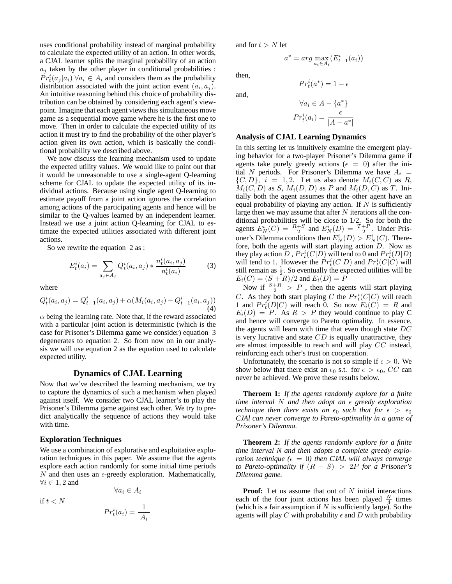uses conditional probability instead of marginal probability to calculate the expected utility of an action. In other words, a CJAL learner splits the marginal probability of an action  $a_j$  taken by the other player in conditional probabilities :  $Pr_t^i(a_j|a_i)$   $\forall a_i \in A_i$  and considers them as the probability distribution associated with the joint action event  $(a_i, a_j)$ . An intuitive reasoning behind this choice of probability distribution can be obtained by considering each agent's viewpoint. Imagine that each agent views this simultaneous move game as a sequential move game where he is the first one to move. Then in order to calculate the expected utility of its action it must try to find the probability of the other player's action given its own action, which is basically the conditional probability we described above.

We now discuss the learning mechanism used to update the expected utility values. We would like to point out that it would be unreasonable to use a single-agent Q-learning scheme for CJAL to update the expected utility of its individual actions. Because using single agent Q-learning to estimate payoff from a joint action ignores the correlation among actions of the participating agents and hence will be similar to the Q-values learned by an independent learner. Instead we use a joint action Q-learning for CJAL to estimate the expected utilities associated with different joint actions.

So we rewrite the equation 2 as :

$$
E_t^i(a_i) = \sum_{a_j \in A_j} Q_t^i(a_i, a_j) * \frac{n_t^i(a_i, a_j)}{n_t^i(a_i)}
$$
(3)

where

$$
Q_t^i(a_i, a_j) = Q_{t-1}^i(a_i, a_j) + \alpha(M_i(a_i, a_j) - Q_{t-1}^i(a_i, a_j))
$$
\n(4)

 $\alpha$  being the learning rate. Note that, if the reward associated with a particular joint action is deterministic (which is the case for Prisoner's Dilemma game we consider) equation 3 degenerates to equation 2. So from now on in our analysis we will use equation 2 as the equation used to calculate expected utility.

#### **Dynamics of CJAL Learning**

Now that we've described the learning mechanism, we try to capture the dynamics of such a mechanism when played against itself. We consider two CJAL learner's to play the Prisoner's Dilemma game against each other. We try to predict analytically the sequence of actions they would take with time.

#### **Exploration Techniques**

We use a combination of explorative and exploitative exploration techniques in this paper. We assume that the agents explore each action randomly for some initial time periods N and then uses an  $\epsilon$ -greedy exploration. Mathematically,  $\forall i \in 1, 2$  and

if  $t < N$ 

$$
Pr_t^i(a_i) = \frac{1}{|A_i|}
$$

 $\forall a_i \in A_i$ 

and for  $t > N$  let

 $a^* = arg \max_{a_i \in A_i} (E_{t-1}^i(a_i))$ 

then,

and,

$$
\forall a_i \in A - \{a^*\}
$$

$$
Pr_t^i(a_i) = \frac{\epsilon}{|A - a^*|}
$$

 $Pr_t^i(a^*) = 1 - \epsilon$ 

## **Analysis of CJAL Learning Dynamics**

In this setting let us intuitively examine the emergent playing behavior for a two-player Prisoner's Dilemma game if agents take purely greedy actions ( $\epsilon = 0$ ) after the initial N periods. For Prisoner's Dilemma we have  $A_i =$  $\{C, D\}, i = 1, 2$ . Let us also denote  $M_i(C, C)$  as R,  $M_i(C, D)$  as S,  $M_i(D, D)$  as P and  $M_i(D, C)$  as T. Initially both the agent assumes that the other agent have an equal probability of playing any action. If  $N$  is sufficiently large then we may assume that after  $N$  iterations all the conditional probabilities will be close to 1/2. So for both the agents  $\dot{E}_N^i(C) = \frac{R+S}{2}$  and  $E_N^i(D) = \frac{T+P}{2}$ . Under Prisoner's Dilemma conditions then  $E_N^i(D) > E_N^i(C)$ . Therefore, both the agents will start playing action D. Now as they play action  $D$  ,  $Pr_t^i(C|D)$  will tend to 0 and  $Pr_t^i(D|D)$ will tend to 1. However the  $Pr_t^i(C|D)$  and  $Pr_t^i(C|C)$  will still remain as  $\frac{1}{2}$ . So eventually the expected utilities will be  $E_i(C) = (S + R)/2$  and  $E_i(D) = P$ 

Now if  $\frac{S+R}{2} > P$ , then the agents will start playing C. As they both start playing C the  $Pr_t^i(C|C)$  will reach 1 and  $Pr_t^i(D|C)$  will reach 0. So now  $E_i(C) = R$  and  $E_i(D) = P$ . As  $R > P$  they would continue to play C and hence will converge to Pareto optimality. In essence, the agents will learn with time that even though state DC is very lucrative and state  $CD$  is equally unattractive, they are almost impossible to reach and will play CC instead, reinforcing each other's trust on cooperation.

Unfortunately, the scenario is not so simple if  $\epsilon > 0$ . We show below that there exist an  $\epsilon_0$  s.t. for  $\epsilon > \epsilon_0$ , CC can never be achieved. We prove these results below.

**Theroem 1:** *If the agents randomly explore for a finite time interval* N *and then adopt an*  $\epsilon$  *greedy exploration technique then there exists an*  $\epsilon_0$  *such that for*  $\epsilon > \epsilon_0$ *CJAl can never converge to Pareto-optimality in a game of Prisoner's Dilemma.*

**Theorem 2:** *If the agents randomly explore for a finite time interval N and then adopts a complete greedy exploration technique* ( $\epsilon = 0$ ) then CJAL will always converge *to Pareto-optimality if* (R + S) > 2P *for a Prisoner's Dilemma game.*

**Proof:** Let us assume that out of N initial interactions each of the four joint actions has been played  $\frac{N}{4}$  times (which is a fair assumption if  $N$  is sufficiently large). So the agents will play C with probability  $\epsilon$  and D with probability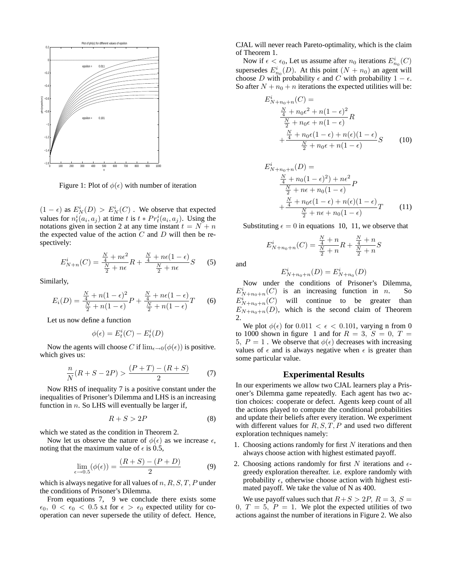

Figure 1: Plot of  $\phi(\epsilon)$  with number of iteration

 $(1 - \epsilon)$  as  $E_N^i(D) > E_N^i(C)$ . We observe that expected values for  $n_t^i(a_i, a_j)$  at time t is  $t * Pr_t^i(a_i, a_j)$ . Using the notations given in section 2 at any time instant  $t = N + n$ the expected value of the action  $C$  and  $D$  will then be respectively:

$$
E_{N+n}^{i}(C) = \frac{\frac{N}{4} + n\epsilon^2}{\frac{N}{2} + n\epsilon}R + \frac{\frac{N}{4} + n\epsilon(1 - \epsilon)}{\frac{N}{2} + n\epsilon}S
$$
 (5)

Similarly,

$$
E_i(D) = \frac{\frac{N}{4} + n(1 - \epsilon)^2}{\frac{N}{2} + n(1 - \epsilon)}P + \frac{\frac{N}{4} + n\epsilon(1 - \epsilon)}{\frac{N}{2} + n(1 - \epsilon)}T
$$
 (6)

Let us now define a function

$$
\phi(\epsilon) = E_t^i(C) - E_t^i(D)
$$

Now the agents will choose C if  $\lim_{\epsilon \to 0} (\phi(\epsilon))$  is positive. which gives us:

$$
\frac{n}{N}(R+S-2P) > \frac{(P+T)-(R+S)}{2}
$$
 (7)

Now RHS of inequality 7 is a positive constant under the inequalities of Prisoner's Dilemma and LHS is an increasing function in  $n$ . So LHS will eventually be larger if,

$$
R + S > 2P \tag{8}
$$

which we stated as the condition in Theorem 2.

Now let us observe the nature of  $\phi(\epsilon)$  as we increase  $\epsilon$ , noting that the maximum value of  $\epsilon$  is 0.5,

$$
\lim_{\epsilon \to 0.5} (\phi(\epsilon)) = \frac{(R+S) - (P+D)}{2}
$$
 (9)

which is always negative for all values of  $n, R, S, T, P$  under the conditions of Prisoner's Dilemma.

From equations 7, 9 we conclude there exists some  $\epsilon_0$ ,  $0 < \epsilon_0 < 0.5$  s.t for  $\epsilon > \epsilon_0$  expected utility for cooperation can never supersede the utility of defect. Hence, CJAL will never reach Pareto-optimality, which is the claim of Theorem 1.

Now if  $\epsilon < \epsilon_0$ , Let us assume after  $n_0$  iterations  $E^i_{n_0}(C)$ supersedes  $E_{n_0}^i(D)$ . At this point  $(N + n_0)$  an agent will choose D with probability  $\epsilon$  and C with probability  $1 - \epsilon$ . So after  $N + n_0 + n$  iterations the expected utilities will be:

$$
E_{N+n_0+n}^{i}(C) = \frac{\frac{N}{4} + n_0 \epsilon^2 + n(1 - \epsilon)^2}{\frac{N}{2} + n_0 \epsilon + n(1 - \epsilon)} R + \frac{\frac{N}{4} + n_0 \epsilon (1 - \epsilon) + n(\epsilon)(1 - \epsilon)}{\frac{N}{2} + n_0 \epsilon + n(1 - \epsilon)} S
$$
(10)

$$
E_{N+n_0+n}^{i}(D) =
$$
  
\n
$$
\frac{\frac{N}{4} + n_0(1 - \epsilon)^2 + n\epsilon^2}{\frac{N}{2} + n\epsilon + n_0(1 - \epsilon)}P
$$
  
\n
$$
+\frac{\frac{N}{4} + n_0\epsilon(1 - \epsilon) + n(\epsilon)(1 - \epsilon)}{\frac{N}{2} + n\epsilon + n_0(1 - \epsilon)}T
$$
(11)

Substituting  $\epsilon = 0$  in equations 10, 11, we observe that

$$
E_{N+n_0+n}^i(C) = \frac{\frac{N}{4} + n}{\frac{N}{2} + n}R + \frac{\frac{N}{4} + n}{\frac{N}{2} + n}S
$$

and

$$
E_{N+n_0+n}^i(D)=E_{N+n_0}^i(D)
$$

Now under the conditions of Prisoner's Dilemma,  $E_{N+n_0+n}^i(C)$  is an increasing function in *n*. So  $E_{N+n_0+n}^i$ will continue to be greater than  $E_{N+n_0+n}(D)$ , which is the second claim of Theorem 2.

We plot  $\phi(\epsilon)$  for 0.011  $\epsilon \epsilon$  < 0.101, varying n from 0 to 1000 shown in figure 1 and for  $R = 3$ ,  $S = 0$ ,  $T =$ 5,  $P = 1$ . We observe that  $\phi(\epsilon)$  decreases with increasing values of  $\epsilon$  and is always negative when  $\epsilon$  is greater than some particular value.

## **Experimental Results**

In our experiments we allow two CJAL learners play a Prisoner's Dilemma game repeatedly. Each agent has two action choices: cooperate or defect. Agents keep count of all the actions played to compute the conditional probabilities and update their beliefs after every iteration. We experiment with different values for  $R, S, T, P$  and used two different exploration techniques namely:

- 1. Choosing actions randomly for first  $N$  iterations and then always choose action with highest estimated payoff.
- 2. Choosing actions randomly for first  $N$  iterations and  $\epsilon$ greedy exploration thereafter. i.e. explore randomly with probability  $\epsilon$ , otherwise choose action with highest estimated payoff. We take the value of N as 400.

We use payoff values such that  $R+S > 2P$ ,  $R = 3$ ,  $S =$ 0,  $T = 5$ ,  $P = 1$ . We plot the expected utilities of two actions against the number of iterations in Figure 2. We also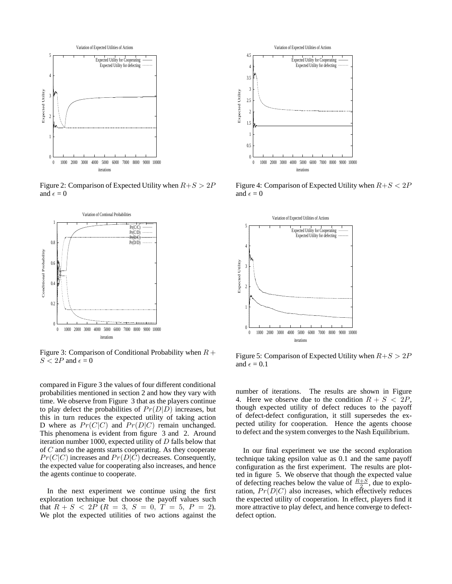

Figure 2: Comparison of Expected Utility when  $R+S > 2P$ and  $\epsilon = 0$ 



Figure 3: Comparison of Conditional Probability when  $R +$  $S < 2P$  and  $\epsilon = 0$ 

compared in Figure 3 the values of four different conditional probabilities mentioned in section 2 and how they vary with time. We observe from Figure 3 that as the players continue to play defect the probabilities of  $Pr(D|D)$  increases, but this in turn reduces the expected utility of taking action D where as  $Pr(C|C)$  and  $Pr(D|C)$  remain unchanged. This phenomena is evident from figure 3 and 2. Around iteration number 1000, expected utility of  $D$  falls below that of C and so the agents starts cooperating. As they cooperate  $Pr(C|C)$  increases and  $Pr(D|C)$  decreases. Consequently, the expected value for cooperating also increases, and hence the agents continue to cooperate.

In the next experiment we continue using the first exploration technique but choose the payoff values such that  $R + S < 2P$   $(R = 3, S = 0, T = 5, P = 2)$ . We plot the expected utilities of two actions against the



Figure 4: Comparison of Expected Utility when  $R+S < 2P$ and  $\epsilon = 0$ 



Figure 5: Comparison of Expected Utility when  $R+S > 2P$ and  $\epsilon = 0.1$ 

number of iterations. The results are shown in Figure 4. Here we observe due to the condition  $R + S < 2P$ , though expected utility of defect reduces to the payoff of defect-defect configuration, it still supersedes the expected utility for cooperation. Hence the agents choose to defect and the system converges to the Nash Equilibrium.

In our final experiment we use the second exploration technique taking epsilon value as 0.1 and the same payoff configuration as the first experiment. The results are plotted in figure 5. We observe that though the expected value of defecting reaches below the value of  $\frac{R+S}{2}$ , due to exploration,  $Pr(D|C)$  also increases, which effectively reduces the expected utility of cooperation. In effect, players find it more attractive to play defect, and hence converge to defectdefect option.